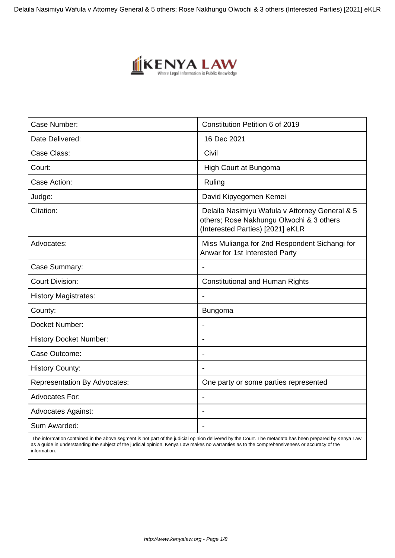Delaila Nasimiyu Wafula v Attorney General & 5 others; Rose Nakhungu Olwochi & 3 others (Interested Parties) [2021] eKLR



| Case Number:                        | Constitution Petition 6 of 2019                                                                                                |
|-------------------------------------|--------------------------------------------------------------------------------------------------------------------------------|
| Date Delivered:                     | 16 Dec 2021                                                                                                                    |
| Case Class:                         | Civil                                                                                                                          |
| Court:                              | High Court at Bungoma                                                                                                          |
| Case Action:                        | Ruling                                                                                                                         |
| Judge:                              | David Kipyegomen Kemei                                                                                                         |
| Citation:                           | Delaila Nasimiyu Wafula v Attorney General & 5<br>others; Rose Nakhungu Olwochi & 3 others<br>(Interested Parties) [2021] eKLR |
| Advocates:                          | Miss Mulianga for 2nd Respondent Sichangi for<br>Anwar for 1st Interested Party                                                |
| Case Summary:                       |                                                                                                                                |
| <b>Court Division:</b>              | <b>Constitutional and Human Rights</b>                                                                                         |
| <b>History Magistrates:</b>         |                                                                                                                                |
| County:                             | <b>Bungoma</b>                                                                                                                 |
| Docket Number:                      |                                                                                                                                |
| <b>History Docket Number:</b>       |                                                                                                                                |
| Case Outcome:                       | $\blacksquare$                                                                                                                 |
| <b>History County:</b>              |                                                                                                                                |
| <b>Representation By Advocates:</b> | One party or some parties represented                                                                                          |
| <b>Advocates For:</b>               | $\blacksquare$                                                                                                                 |
| <b>Advocates Against:</b>           | $\overline{\phantom{a}}$                                                                                                       |
| Sum Awarded:                        |                                                                                                                                |

 The information contained in the above segment is not part of the judicial opinion delivered by the Court. The metadata has been prepared by Kenya Law as a guide in understanding the subject of the judicial opinion. Kenya Law makes no warranties as to the comprehensiveness or accuracy of the information.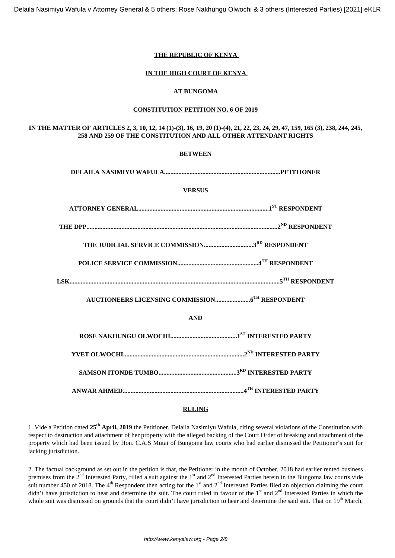Delaila Nasimiyu Wafula v Attorney General & 5 others; Rose Nakhungu Olwochi & 3 others (Interested Parties) [2021] eKLR

# **THE REPUBLIC OF KENYA**

# **IN THE HIGH COURT OF KENYA**

# **AT BUNGOMA**

### **CONSTITUTION PETITION NO. 6 OF 2019**

# **IN THE MATTER OF ARTICLES 2, 3, 10, 12, 14 (1)-(3), 16, 19, 20 (1)-(4), 21, 22, 23, 24, 29, 47, 159, 165 (3), 238, 244, 245, 258 AND 259 OF THE CONSTITUTION AND ALL OTHER ATTENDANT RIGHTS**

| <b>BETWEEN</b> |  |  |
|----------------|--|--|
|                |  |  |
| <b>VERSUS</b>  |  |  |
|                |  |  |
|                |  |  |
|                |  |  |
|                |  |  |
|                |  |  |
|                |  |  |
| <b>AND</b>     |  |  |
|                |  |  |
|                |  |  |
|                |  |  |
|                |  |  |

### **RULING**

1. Vide a Petition dated **25th April, 2019** the Petitioner, Delaila Nasimiyu Wafula, citing several violations of the Constitution with respect to destruction and attachment of her property with the alleged backing of the Court Order of breaking and attachment of the property which had been issued by Hon. C.A.S Mutai of Bungoma law courts who had earlier dismissed the Petitioner's suit for lacking jurisdiction.

2. The factual background as set out in the petition is that, the Petitioner in the month of October, 2018 had earlier rented business premises from the 2<sup>nd</sup> Interested Party, filled a suit against the 1<sup>st</sup> and 2<sup>nd</sup> Interested Parties herein in the Bungoma law courts vide suit number 450 of 2018. The 4<sup>th</sup> Respondent then acting for the 1<sup>st</sup> and 2<sup>nd</sup> Interested Parties filed an objection claiming the court didn't have jurisdiction to hear and determine the suit. The court ruled in favour of the 1<sup>st</sup> and 2<sup>nd</sup> Interested Parties in which the whole suit was dismissed on grounds that the court didn't have jurisdiction to hear and determine the said suit. That on  $19<sup>th</sup>$  March,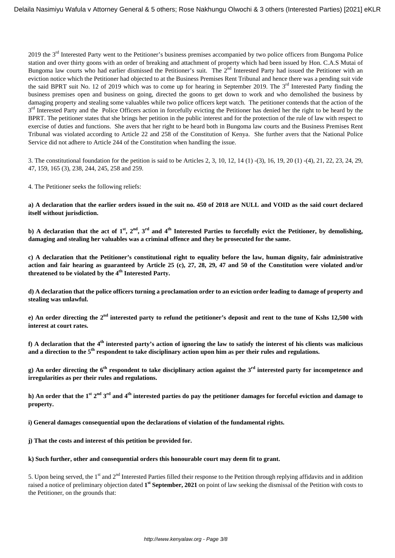2019 the 3rd Interested Party went to the Petitioner's business premises accompanied by two police officers from Bungoma Police station and over thirty goons with an order of breaking and attachment of property which had been issued by Hon. C.A.S Mutai of Bungoma law courts who had earlier dismissed the Petitioner's suit. The  $2^{nd}$  Interested Party had issued the Petitioner with an eviction notice which the Petitioner had objected to at the Business Premises Rent Tribunal and hence there was a pending suit vide the said BPRT suit No. 12 of 2019 which was to come up for hearing in September 2019. The  $3<sup>rd</sup>$  Interested Party finding the business premises open and business on going, directed the goons to get down to work and who demolished the business by damaging property and stealing some valuables while two police officers kept watch. The petitioner contends that the action of the 3<sup>rd</sup> Interested Party and the Police Officers action in forcefully evicting the Petitioner has denied her the right to be heard by the BPRT. The petitioner states that she brings her petition in the public interest and for the protection of the rule of law with respect to exercise of duties and functions. She avers that her right to be heard both in Bungoma law courts and the Business Premises Rent Tribunal was violated according to Article 22 and 258 of the Constitution of Kenya. She further avers that the National Police Service did not adhere to Article 244 of the Constitution when handling the issue.

3. The constitutional foundation for the petition is said to be Articles 2, 3, 10, 12, 14 (1) -(3), 16, 19, 20 (1) -(4), 21, 22, 23, 24, 29, 47, 159, 165 (3), 238, 244, 245, 258 and 259.

4. The Petitioner seeks the following reliefs:

**a) A declaration that the earlier orders issued in the suit no. 450 of 2018 are NULL and VOID as the said court declared itself without jurisdiction.**

**b) A declaration that the act of 1st, 2nd, 3rd and 4th Interested Parties to forcefully evict the Petitioner, by demolishing, damaging and stealing her valuables was a criminal offence and they be prosecuted for the same.**

**c) A declaration that the Petitioner's constitutional right to equality before the law, human dignity, fair administrative action and fair hearing as guaranteed by Article 25 (c), 27, 28, 29, 47 and 50 of the Constitution were violated and/or threatened to be violated by the 4th Interested Party.**

**d) A declaration that the police officers turning a proclamation order to an eviction order leading to damage of property and stealing was unlawful.**

**e) An order directing the 2nd interested party to refund the petitioner's deposit and rent to the tune of Kshs 12,500 with interest at court rates.**

**f) A declaration that the 4th interested party's action of ignoring the law to satisfy the interest of his clients was malicious and a direction to the 5th respondent to take disciplinary action upon him as per their rules and regulations.**

**g) An order directing the 6th respondent to take disciplinary action against the 3rd interested party for incompetence and irregularities as per their rules and regulations.**

**h) An order that the 1st 2nd 3rd and 4th interested parties do pay the petitioner damages for forceful eviction and damage to property.**

**i) General damages consequential upon the declarations of violation of the fundamental rights.**

**j) That the costs and interest of this petition be provided for.**

### **k) Such further, other and consequential orders this honourable court may deem fit to grant.**

5. Upon being served, the 1<sup>st</sup> and 2<sup>nd</sup> Interested Parties filled their response to the Petition through replying affidavits and in addition raised a notice of preliminary objection dated **1 st September, 2021** on point of law seeking the dismissal of the Petition with costs to the Petitioner, on the grounds that: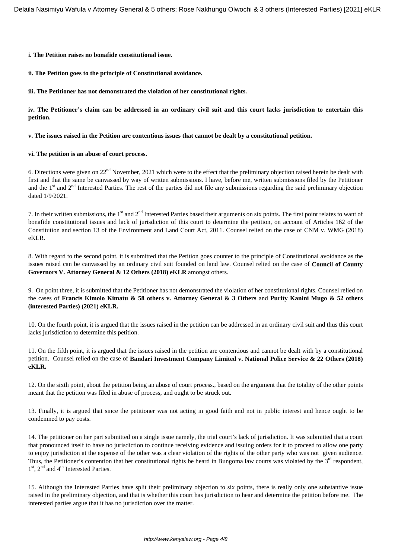**i. The Petition raises no bonafide constitutional issue.**

**ii. The Petition goes to the principle of Constitutional avoidance.**

**iii. The Petitioner has not demonstrated the violation of her constitutional rights.**

**iv. The Petitioner's claim can be addressed in an ordinary civil suit and this court lacks jurisdiction to entertain this petition.**

**v. The issues raised in the Petition are contentious issues that cannot be dealt by a constitutional petition.**

**vi. The petition is an abuse of court process.** 

6. Directions were given on  $22<sup>nd</sup>$  November, 2021 which were to the effect that the preliminary objection raised herein be dealt with first and that the same be canvassed by way of written submissions. I have, before me, written submissions filed by the Petitioner and the  $1<sup>st</sup>$  and  $2<sup>nd</sup>$  Interested Parties. The rest of the parties did not file any submissions regarding the said preliminary objection dated 1/9/2021.

7. In their written submissions, the 1<sup>st</sup> and 2<sup>nd</sup> Interested Parties based their arguments on six points. The first point relates to want of bonafide constitutional issues and lack of jurisdiction of this court to determine the petition, on account of Articles 162 of the Constitution and section 13 of the Environment and Land Court Act, 2011. Counsel relied on the case of CNM v. WMG (2018) eKLR.

8. With regard to the second point, it is submitted that the Petition goes counter to the principle of Constitutional avoidance as the issues raised can be canvassed by an ordinary civil suit founded on land law. Counsel relied on the case of **Council of County Governors V. Attorney General & 12 Others (2018) eKLR** amongst others.

9. On point three, it is submitted that the Petitioner has not demonstrated the violation of her constitutional rights. Counsel relied on the cases of **Francis Kimolo Kimatu & 58 others v. Attorney General & 3 Others** and **Purity Kanini Mugo & 52 others (interested Parties) (2021) eKLR.**

10. On the fourth point, it is argued that the issues raised in the petition can be addressed in an ordinary civil suit and thus this court lacks jurisdiction to determine this petition.

11. On the fifth point, it is argued that the issues raised in the petition are contentious and cannot be dealt with by a constitutional petition. Counsel relied on the case of **Bandari Investment Company Limited v. National Police Service & 22 Others (2018) eKLR.**

12. On the sixth point, about the petition being an abuse of court process., based on the argument that the totality of the other points meant that the petition was filed in abuse of process, and ought to be struck out.

13. Finally, it is argued that since the petitioner was not acting in good faith and not in public interest and hence ought to be condemned to pay costs.

14. The petitioner on her part submitted on a single issue namely, the trial court's lack of jurisdiction. It was submitted that a court that pronounced itself to have no jurisdiction to continue receiving evidence and issuing orders for it to proceed to allow one party to enjoy jurisdiction at the expense of the other was a clear violation of the rights of the other party who was not given audience. Thus, the Petitioner's contention that her constitutional rights be heard in Bungoma law courts was violated by the  $3<sup>rd</sup>$  respondent, 1<sup>st</sup>, 2<sup>nd</sup> and 4<sup>th</sup> Interested Parties.

15. Although the Interested Parties have split their preliminary objection to six points, there is really only one substantive issue raised in the preliminary objection, and that is whether this court has jurisdiction to hear and determine the petition before me. The interested parties argue that it has no jurisdiction over the matter.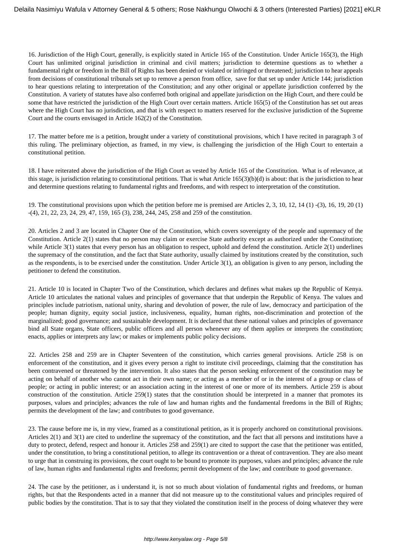16. Jurisdiction of the High Court, generally, is explicitly stated in Article 165 of the Constitution. Under Article 165(3), the High Court has unlimited original jurisdiction in criminal and civil matters; jurisdiction to determine questions as to whether a fundamental right or freedom in the Bill of Rights has been denied or violated or infringed or threatened; jurisdiction to hear appeals from decisions of constitutional tribunals set up to remove a person from office, save for that set up under Article 144; jurisdiction to hear questions relating to interpretation of the Constitution; and any other original or appellate jurisdiction conferred by the Constitution. A variety of statutes have also conferred both original and appellate jurisdiction on the High Court, and there could be some that have restricted the jurisdiction of the High Court over certain matters. Article 165(5) of the Constitution has set out areas where the High Court has no jurisdiction, and that is with respect to matters reserved for the exclusive jurisdiction of the Supreme Court and the courts envisaged in Article 162(2) of the Constitution.

17. The matter before me is a petition, brought under a variety of constitutional provisions, which I have recited in paragraph 3 of this ruling. The preliminary objection, as framed, in my view, is challenging the jurisdiction of the High Court to entertain a constitutional petition.

18. I have reiterated above the jurisdiction of the High Court as vested by Article 165 of the Constitution. What is of relevance, at this stage, is jurisdiction relating to constitutional petitions. That is what Article 165(3)(b)(d) is about: that is the jurisdiction to hear and determine questions relating to fundamental rights and freedoms, and with respect to interpretation of the constitution.

19. The constitutional provisions upon which the petition before me is premised are Articles 2, 3, 10, 12, 14 (1) -(3), 16, 19, 20 (1) -(4), 21, 22, 23, 24, 29, 47, 159, 165 (3), 238, 244, 245, 258 and 259 of the constitution.

20. Articles 2 and 3 are located in Chapter One of the Constitution, which covers sovereignty of the people and supremacy of the Constitution. Article 2(1) states that no person may claim or exercise State authority except as authorized under the Constitution; while Article 3(1) states that every person has an obligation to respect, uphold and defend the constitution. Article 2(1) underlines the supremacy of the constitution, and the fact that State authority, usually claimed by institutions created by the constitution, such as the respondents, is to be exercised under the constitution. Under Article 3(1), an obligation is given to any person, including the petitioner to defend the constitution.

21. Article 10 is located in Chapter Two of the Constitution, which declares and defines what makes up the Republic of Kenya. Article 10 articulates the national values and principles of governance that that underpin the Republic of Kenya. The values and principles include patriotism, national unity, sharing and devolution of power, the rule of law, democracy and participation of the people; human dignity, equity social justice, inclusiveness, equality, human rights, non-discrimination and protection of the marginalized; good governance; and sustainable development. It is declared that these national values and principles of governance bind all State organs, State officers, public officers and all person whenever any of them applies or interprets the constitution; enacts, applies or interprets any law; or makes or implements public policy decisions.

22. Articles 258 and 259 are in Chapter Seventeen of the constitution, which carries general provisions. Article 258 is on enforcement of the constitution, and it gives every person a right to institute civil proceedings, claiming that the constitution has been contravened or threatened by the intervention. It also states that the person seeking enforcement of the constitution may be acting on behalf of another who cannot act in their own name; or acting as a member of or in the interest of a group or class of people; or acting in public interest; or an association acting in the interest of one or more of its members. Article 259 is about construction of the constitution. Article 259(1) states that the constitution should be interpreted in a manner that promotes its purposes, values and principles; advances the rule of law and human rights and the fundamental freedoms in the Bill of Rights; permits the development of the law; and contributes to good governance.

23. The cause before me is, in my view, framed as a constitutional petition, as it is properly anchored on constitutional provisions. Articles 2(1) and 3(1) are cited to underline the supremacy of the constitution, and the fact that all persons and institutions have a duty to protect, defend, respect and honour it. Articles 258 and 259(1) are cited to support the case that the petitioner was entitled, under the constitution, to bring a constitutional petition, to allege its contravention or a threat of contravention. They are also meant to urge that in construing its provisions, the court ought to be bound to promote its purposes, values and principles; advance the rule of law, human rights and fundamental rights and freedoms; permit development of the law; and contribute to good governance.

24. The case by the petitioner, as i understand it, is not so much about violation of fundamental rights and freedoms, or human rights, but that the Respondents acted in a manner that did not measure up to the constitutional values and principles required of public bodies by the constitution. That is to say that they violated the constitution itself in the process of doing whatever they were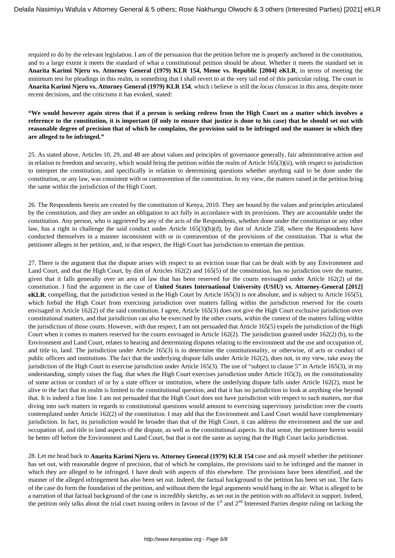required to do by the relevant legislation. I am of the persuasion that the petition before me is properly anchored in the constitution, and to a large extent it meets the standard of what a constitutional petition should be about. Whether it meets the standard set in **Anarita Karimi Njeru vs. Attorney General (1979) KLR 154, Meme vs. Republic [2004] eKLR**, in terms of meeting the minimum test for pleadings in this realm, is something that I shall revert to at the very tail end of this particular ruling. The court in **Anarita Karimi Njeru vs. Attorney General (1979) KLR 154**, which i believe is still the *locus classicus* in this area, despite more recent decisions, and the criticisms it has evoked, stated:

## **"We would however again stress that if a person is seeking redress from the High Court on a matter which involves a reference to the constitution, it is important (if only to ensure that justice is done to his case) that he should set out with reasonable degree of precision that of which he complains, the provision said to be infringed and the manner in which they are alleged to be infringed."**

25. As stated above, Articles 10, 29, and 48 are about values and principles of governance generally, fair administrative action and in relation to freedom and security, which would bring the petition within the realm of Article 165(3)(ii), with respect to jurisdiction to interpret the constitution, and specifically in relation to determining questions whether anything said to be done under the constitution, or any law, was consistent with or contravention of the constitution. In my view, the matters raised in the petition bring the same within the jurisdiction of the High Court.

26. The Respondents herein are created by the constitution of Kenya, 2010. They are bound by the values and principles articulated by the constitution, and they are under an obligation to act fully in accordance with its provisions. They are accountable under the constitution. Any person, who is aggrieved by any of the acts of the Respondents, whether done under the constitution or any other law, has a right to challenge the said conduct under Article 165(3)(b)(d), by dint of Article 258, where the Respondents have conducted themselves in a manner inconsistent with or in contravention of the provisions of the constitution. That is what the petitioner alleges in her petition, and, in that respect, the High Court has jurisdiction to entertain the petition.

27. There is the argument that the dispute arises with respect to an eviction issue that can be dealt with by any Environment and Land Court, and that the High Court, by dint of Articles 162(2) and 165(5) of the constitution, has no jurisdiction over the matter, given that it falls generally over an area of law that has been reserved for the courts envisaged under Article 162(2) of the constitution. I find the argument in the case of **United States International University (USIU) vs. Attorney-General [2012] eKLR**, compelling, that the jurisdiction vested in the High Court by Article 165(3) is not absolute, and is subject to Article 165(5), which forbid the High Court from exercising jurisdiction over matters falling within the jurisdiction reserved for the courts envisaged in Article 162(2) of the said constitution. I agree, Article 165(3) does not give the High Court exclusive jurisdiction over constitutional matters, and that jurisdiction can also be exercised by the other courts, within the context of the matters falling within the jurisdiction of those courts. However, with due respect, I am not persuaded that Article 165(5) expels the jurisdiction of the High Court when it comes to matters reserved for the courts envisaged in Article 162(2). The jurisdiction granted under 162(2) (b), to the Environment and Land Court, relates to hearing and determining disputes relating to the environment and the use and occupation of, and title to, land. The jurisdiction under Article 165(3) is to determine the constitutionality, or otherwise, of acts or conduct of public officers and institutions. The fact that the underlying dispute falls under Article 162(2), does not, in my view, take away the jurisdiction of the High Court to exercise jurisdiction under Article 165(3). The use of "subject to clause 5" in Article 165(3), in my understanding, simply raises the flag, that when the High Court exercises jurisdiction under Article 165(3), on the constitutionality of some action or conduct of or by a state officer or institution, where the underlying dispute falls under Article  $162(2)$ , must be alive to the fact that its realm is limited to the constitutional question, and that it has no jurisdiction to look at anything else beyond that. It is indeed a fine line. I am not persuaded that the High Court does not have jurisdiction with respect to such matters, nor that diving into such matters in regards to constitutional questions would amount to exercising supervisory jurisdiction over the courts contemplated under Article 162(2) of the constitution. I may add that the Environment and Land Court would have complementary jurisdiction. In fact, its jurisdiction would be broader than that of the High Court, it can address the environment and the use and occupation of, and title to land aspects of the dispute, as well as the constitutional aspects. In that sense, the petitioner herein would be better off before the Environment and Land Court, but that is not the same as saying that the High Court lacks jurisdiction.

28. Let me head back to **Anarita Karimi Njeru vs. Attorney General (1979) KLR 154** case and ask myself whether the petitioner has set out, with reasonable degree of precision, that of which he complains, the provisions said to be infringed and the manner in which they are alleged to be infringed. I have dealt with aspects of this elsewhere. The provisions have been identified, and the manner of the alleged infringement has also been set out. Indeed, the factual background to the petition has been set out. The facts of the case do form the foundation of the petition, and without them the legal arguments would hang in the air. What is alleged to be a narration of that factual background of the case is incredibly sketchy, as set out in the petition with no affidavit in support. Indeed, the petition only talks about the trial court issuing orders in favour of the  $1<sup>st</sup>$  and  $2<sup>nd</sup>$  Interested Parties despite ruling on lacking the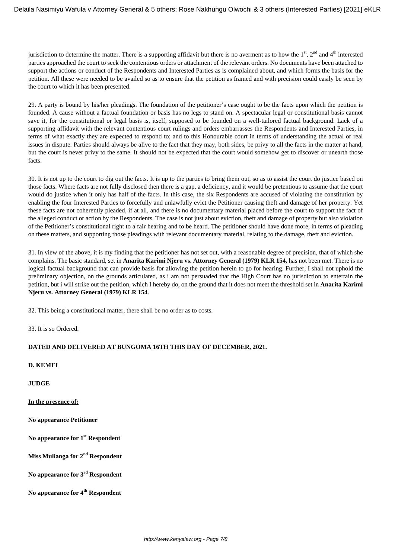jurisdiction to determine the matter. There is a supporting affidavit but there is no averment as to how the  $1<sup>st</sup>$ ,  $2<sup>nd</sup>$  and  $4<sup>th</sup>$  interested parties approached the court to seek the contentious orders or attachment of the relevant orders. No documents have been attached to support the actions or conduct of the Respondents and Interested Parties as is complained about, and which forms the basis for the petition. All these were needed to be availed so as to ensure that the petition as framed and with precision could easily be seen by the court to which it has been presented.

29. A party is bound by his/her pleadings. The foundation of the petitioner's case ought to be the facts upon which the petition is founded. A cause without a factual foundation or basis has no legs to stand on. A spectacular legal or constitutional basis cannot save it, for the constitutional or legal basis is, itself, supposed to be founded on a well-tailored factual background. Lack of a supporting affidavit with the relevant contentious court rulings and orders embarrasses the Respondents and Interested Parties, in terms of what exactly they are expected to respond to; and to this Honourable court in terms of understanding the actual or real issues in dispute. Parties should always be alive to the fact that they may, both sides, be privy to all the facts in the matter at hand, but the court is never privy to the same. It should not be expected that the court would somehow get to discover or unearth those facts.

30. It is not up to the court to dig out the facts. It is up to the parties to bring them out, so as to assist the court do justice based on those facts. Where facts are not fully disclosed then there is a gap, a deficiency, and it would be pretentious to assume that the court would do justice when it only has half of the facts. In this case, the six Respondents are accused of violating the constitution by enabling the four Interested Parties to forcefully and unlawfully evict the Petitioner causing theft and damage of her property. Yet these facts are not coherently pleaded, if at all, and there is no documentary material placed before the court to support the fact of the alleged conduct or action by the Respondents. The case is not just about eviction, theft and damage of property but also violation of the Petitioner's constitutional right to a fair hearing and to be heard. The petitioner should have done more, in terms of pleading on these matters, and supporting those pleadings with relevant documentary material, relating to the damage, theft and eviction.

31. In view of the above, it is my finding that the petitioner has not set out, with a reasonable degree of precision, that of which she complains. The basic standard, set in **Anarita Karimi Njeru vs. Attorney General (1979) KLR 154,** has not been met. There is no logical factual background that can provide basis for allowing the petition herein to go for hearing. Further, I shall not uphold the preliminary objection, on the grounds articulated, as i am not persuaded that the High Court has no jurisdiction to entertain the petition, but i will strike out the petition, which I hereby do, on the ground that it does not meet the threshold set in **Anarita Karimi Njeru vs. Attorney General (1979) KLR 154**.

32. This being a constitutional matter, there shall be no order as to costs.

33. It is so Ordered.

# **DATED AND DELIVERED AT BUNGOMA 16TH THIS DAY OF DECEMBER, 2021.**

**D. KEMEI**

**JUDGE**

**In the presence of:**

**No appearance Petitioner** 

**No appearance for 1st Respondent** 

**Miss Mulianga for 2nd Respondent**

**No appearance for 3rd Respondent**

**No appearance for 4th Respondent**